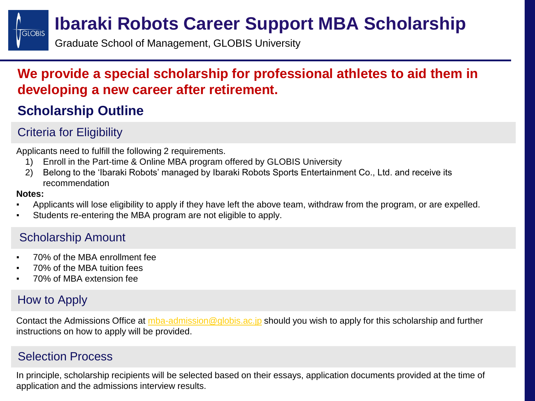## **GLOBIS**

### **Ibaraki Robots Career Support MBA Scholarship**

Graduate School of Management, GLOBIS University

#### **We provide a special scholarship for professional athletes to aid them in developing a new career after retirement.**

### **Scholarship Outline**

#### Criteria for Eligibility

Applicants need to fulfill the following 2 requirements.

- 1) Enroll in the Part-time & Online MBA program offered by GLOBIS University
- 2) Belong to the 'Ibaraki Robots' managed by Ibaraki Robots Sports Entertainment Co., Ltd. and receive its recommendation

#### **Notes:**

- Applicants will lose eligibility to apply if they have left the above team, withdraw from the program, or are expelled.
- Students re-entering the MBA program are not eligible to apply.

#### Scholarship Amount

- 70% of the MBA enrollment fee
- 70% of the MBA tuition fees
- 70% of MBA extension fee

#### How to Apply

Contact the Admissions Office at [mba-admission@globis.ac.jp](mailto:mba-admission@globis.ac.jp) should you wish to apply for this scholarship and further instructions on how to apply will be provided.

#### Selection Process

In principle, scholarship recipients will be selected based on their essays, application documents provided at the time of application and the admissions interview results.